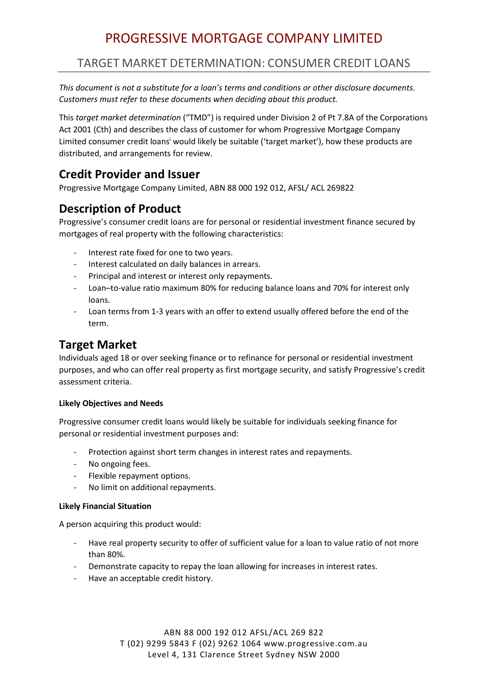# PROGRESSIVE MORTGAGE COMPANY LIMITED

## TARGET MARKET DETERMINATION: CONSUMER CREDIT LOANS

*This document is not a substitute for a loan's terms and conditions or other disclosure documents. Customers must refer to these documents when deciding about this product.* 

This *target market determination* ("TMD") is required under Division 2 of Pt 7.8A of the Corporations Act 2001 (Cth) and describes the class of customer for whom Progressive Mortgage Company Limited consumer credit loans<sup>i</sup> would likely be suitable ('target market'), how these products are distributed, and arrangements for review.

### **Credit Provider and Issuer**

Progressive Mortgage Company Limited, ABN 88 000 192 012, AFSL/ ACL 269822

# **Description of Product**

Progressive's consumer credit loans are for personal or residential investment finance secured by mortgages of real property with the following characteristics:

- Interest rate fixed for one to two years.
- Interest calculated on daily balances in arrears.
- Principal and interest or interest only repayments.
- Loan–to-value ratio maximum 80% for reducing balance loans and 70% for interest only loans.
- Loan terms from 1-3 years with an offer to extend usually offered before the end of the term.

### **Target Market**

Individuals aged 18 or over seeking finance or to refinance for personal or residential investment purposes, and who can offer real property as first mortgage security, and satisfy Progressive's credit assessment criteria.

#### **Likely Objectives and Needs**

Progressive consumer credit loans would likely be suitable for individuals seeking finance for personal or residential investment purposes and:

- Protection against short term changes in interest rates and repayments.
- No ongoing fees.
- Flexible repayment options.
- No limit on additional repayments.

#### **Likely Financial Situation**

A person acquiring this product would:

- Have real property security to offer of sufficient value for a loan to value ratio of not more than 80%.
- Demonstrate capacity to repay the loan allowing for increases in interest rates.
- Have an acceptable credit history.